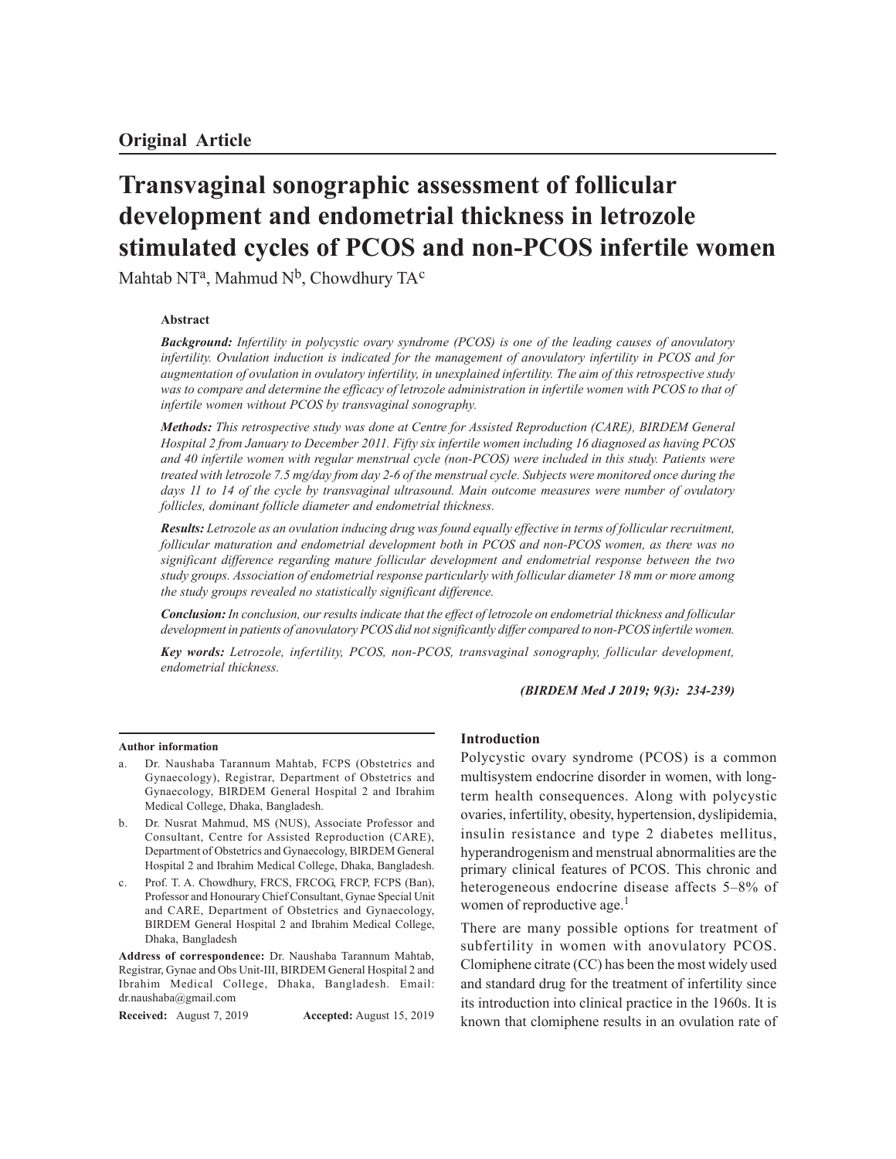# **Transvaginal sonographic assessment of follicular development and endometrial thickness in letrozole stimulated cycles of PCOS and non-PCOS infertile women**

Mahtab NTª, Mahmud N<sup>b</sup>, Chowdhury TA $^{\rm c}$ 

#### **Abstract**

*Background: Infertility in polycystic ovary syndrome (PCOS) is one of the leading causes of anovulatory infertility. Ovulation induction is indicated for the management of anovulatory infertility in PCOS and for augmentation of ovulation in ovulatory infertility, in unexplained infertility. The aim of this retrospective study was to compare and determine the efficacy of letrozole administration in infertile women with PCOS to that of infertile women without PCOS by transvaginal sonography.*

*Methods: This retrospective study was done at Centre for Assisted Reproduction (CARE), BIRDEM General Hospital 2 from January to December 2011. Fifty six infertile women including 16 diagnosed as having PCOS and 40 infertile women with regular menstrual cycle (non-PCOS) were included in this study. Patients were treated with letrozole 7.5 mg/day from day 2-6 of the menstrual cycle. Subjects were monitored once during the days 11 to 14 of the cycle by transvaginal ultrasound. Main outcome measures were number of ovulatory follicles, dominant follicle diameter and endometrial thickness.*

*Results: Letrozole as an ovulation inducing drug was found equally effective in terms of follicular recruitment, follicular maturation and endometrial development both in PCOS and non-PCOS women, as there was no significant difference regarding mature follicular development and endometrial response between the two study groups. Association of endometrial response particularly with follicular diameter 18 mm or more among the study groups revealed no statistically significant difference.*

*Conclusion: In conclusion, our results indicate that the effect of letrozole on endometrial thickness and follicular development in patients of anovulatory PCOS did not significantly differ compared to non-PCOS infertile women.*

*Key words: Letrozole, infertility, PCOS, non-PCOS, transvaginal sonography, follicular development, endometrial thickness.*

*(BIRDEM Med J 2019; 9(3): 234-239)*

**Author information**

- Dr. Naushaba Tarannum Mahtab, FCPS (Obstetrics and Gynaecology), Registrar, Department of Obstetrics and Gynaecology, BIRDEM General Hospital 2 and Ibrahim Medical College, Dhaka, Bangladesh.
- b. Dr. Nusrat Mahmud, MS (NUS), Associate Professor and Consultant, Centre for Assisted Reproduction (CARE), Department of Obstetrics and Gynaecology, BIRDEM General Hospital 2 and Ibrahim Medical College, Dhaka, Bangladesh.
- c. Prof. T. A. Chowdhury, FRCS, FRCOG, FRCP, FCPS (Ban), Professor and Honourary Chief Consultant, Gynae Special Unit and CARE, Department of Obstetrics and Gynaecology, BIRDEM General Hospital 2 and Ibrahim Medical College, Dhaka, Bangladesh

**Address of correspondence:** Dr. Naushaba Tarannum Mahtab, Registrar, Gynae and Obs Unit-III, BIRDEM General Hospital 2 and Ibrahim Medical College, Dhaka, Bangladesh. Email: dr.naushaba@gmail.com

**Received:** August 7, 2019 **Accepted:** August 15, 2019

#### **Introduction**

Polycystic ovary syndrome (PCOS) is a common multisystem endocrine disorder in women, with longterm health consequences. Along with polycystic ovaries, infertility, obesity, hypertension, dyslipidemia, insulin resistance and type 2 diabetes mellitus, hyperandrogenism and menstrual abnormalities are the primary clinical features of PCOS. This chronic and heterogeneous endocrine disease affects 5–8% of women of reproductive age.<sup>1</sup>

There are many possible options for treatment of subfertility in women with anovulatory PCOS. Clomiphene citrate (CC) has been the most widely used and standard drug for the treatment of infertility since its introduction into clinical practice in the 1960s. It is known that clomiphene results in an ovulation rate of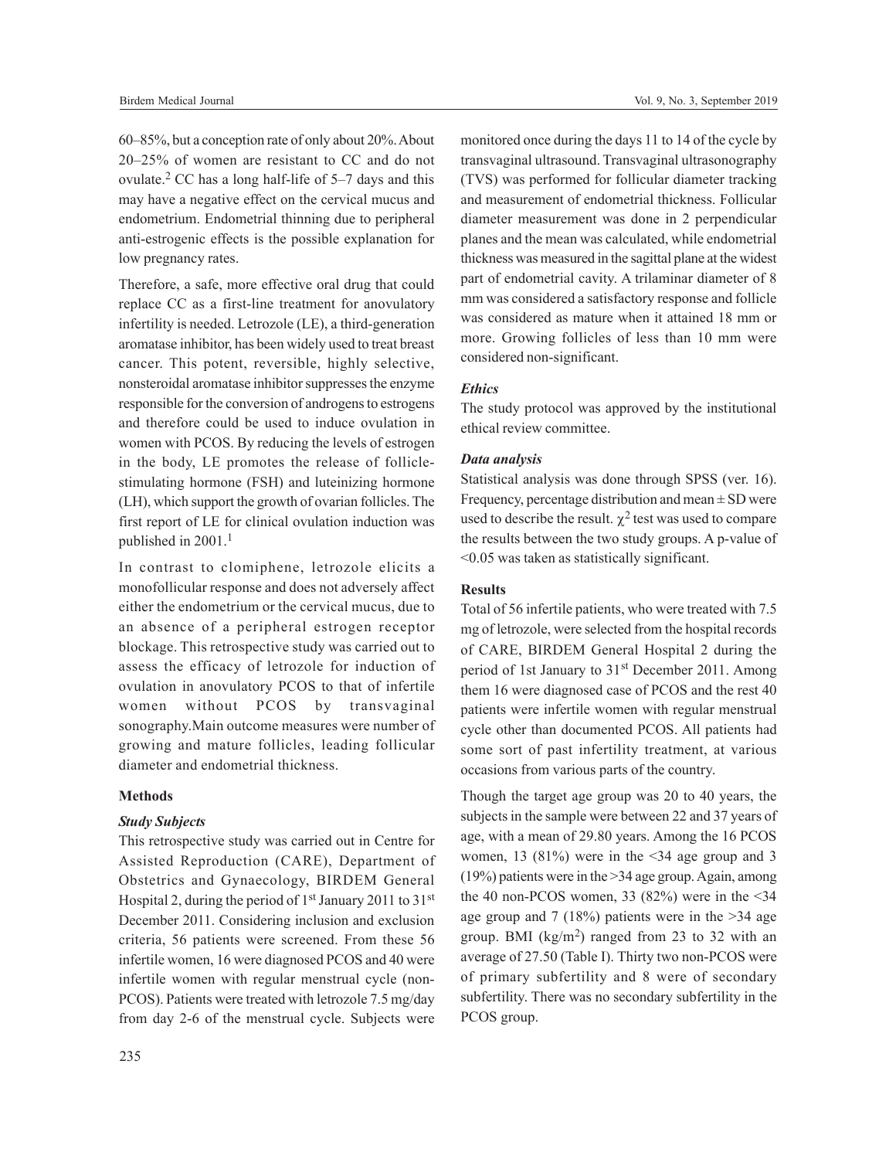60–85%, but a conception rate of only about 20%. About 20–25% of women are resistant to CC and do not ovulate.<sup>2</sup> CC has a long half-life of 5-7 days and this may have a negative effect on the cervical mucus and endometrium. Endometrial thinning due to peripheral anti-estrogenic effects is the possible explanation for low pregnancy rates.

Therefore, a safe, more effective oral drug that could replace CC as a first-line treatment for anovulatory infertility is needed. Letrozole (LE), a third-generation aromatase inhibitor, has been widely used to treat breast cancer. This potent, reversible, highly selective, nonsteroidal aromatase inhibitor suppresses the enzyme responsible for the conversion of androgens to estrogens and therefore could be used to induce ovulation in women with PCOS. By reducing the levels of estrogen in the body, LE promotes the release of folliclestimulating hormone (FSH) and luteinizing hormone (LH), which support the growth of ovarian follicles. The first report of LE for clinical ovulation induction was published in 2001.<sup>1</sup>

In contrast to clomiphene, letrozole elicits a monofollicular response and does not adversely affect either the endometrium or the cervical mucus, due to an absence of a peripheral estrogen receptor blockage. This retrospective study was carried out to assess the efficacy of letrozole for induction of ovulation in anovulatory PCOS to that of infertile women without PCOS by transvaginal sonography.Main outcome measures were number of growing and mature follicles, leading follicular diameter and endometrial thickness.

### **Methods**

#### *Study Subjects*

This retrospective study was carried out in Centre for Assisted Reproduction (CARE), Department of Obstetrics and Gynaecology, BIRDEM General Hospital 2, during the period of 1<sup>st</sup> January 2011 to 31<sup>st</sup> December 2011. Considering inclusion and exclusion criteria, 56 patients were screened. From these 56 infertile women, 16 were diagnosed PCOS and 40 were infertile women with regular menstrual cycle (non-PCOS). Patients were treated with letrozole 7.5 mg/day from day 2-6 of the menstrual cycle. Subjects were

monitored once during the days 11 to 14 of the cycle by transvaginal ultrasound. Transvaginal ultrasonography (TVS) was performed for follicular diameter tracking and measurement of endometrial thickness. Follicular diameter measurement was done in 2 perpendicular planes and the mean was calculated, while endometrial thickness was measured in the sagittal plane at the widest part of endometrial cavity. A trilaminar diameter of 8 mm was considered a satisfactory response and follicle was considered as mature when it attained 18 mm or more. Growing follicles of less than 10 mm were considered non-significant.

## *Ethics*

The study protocol was approved by the institutional ethical review committee.

#### *Data analysis*

Statistical analysis was done through SPSS (ver. 16). Frequency, percentage distribution and mean  $\pm$  SD were used to describe the result.  $\chi^2$  test was used to compare the results between the two study groups. A p-value of <0.05 was taken as statistically significant.

#### **Results**

Total of 56 infertile patients, who were treated with 7.5 mg of letrozole, were selected from the hospital records of CARE, BIRDEM General Hospital 2 during the period of 1st January to 31<sup>st</sup> December 2011. Among them 16 were diagnosed case of PCOS and the rest 40 patients were infertile women with regular menstrual cycle other than documented PCOS. All patients had some sort of past infertility treatment, at various occasions from various parts of the country.

Though the target age group was 20 to 40 years, the subjects in the sample were between 22 and 37 years of age, with a mean of 29.80 years. Among the 16 PCOS women, 13 (81%) were in the <34 age group and 3 (19%) patients were in the >34 age group. Again, among the 40 non-PCOS women, 33  $(82%)$  were in the <34 age group and 7 (18%) patients were in the >34 age group. BMI  $(kg/m^2)$  ranged from 23 to 32 with an average of 27.50 (Table I). Thirty two non-PCOS were of primary subfertility and 8 were of secondary subfertility. There was no secondary subfertility in the PCOS group.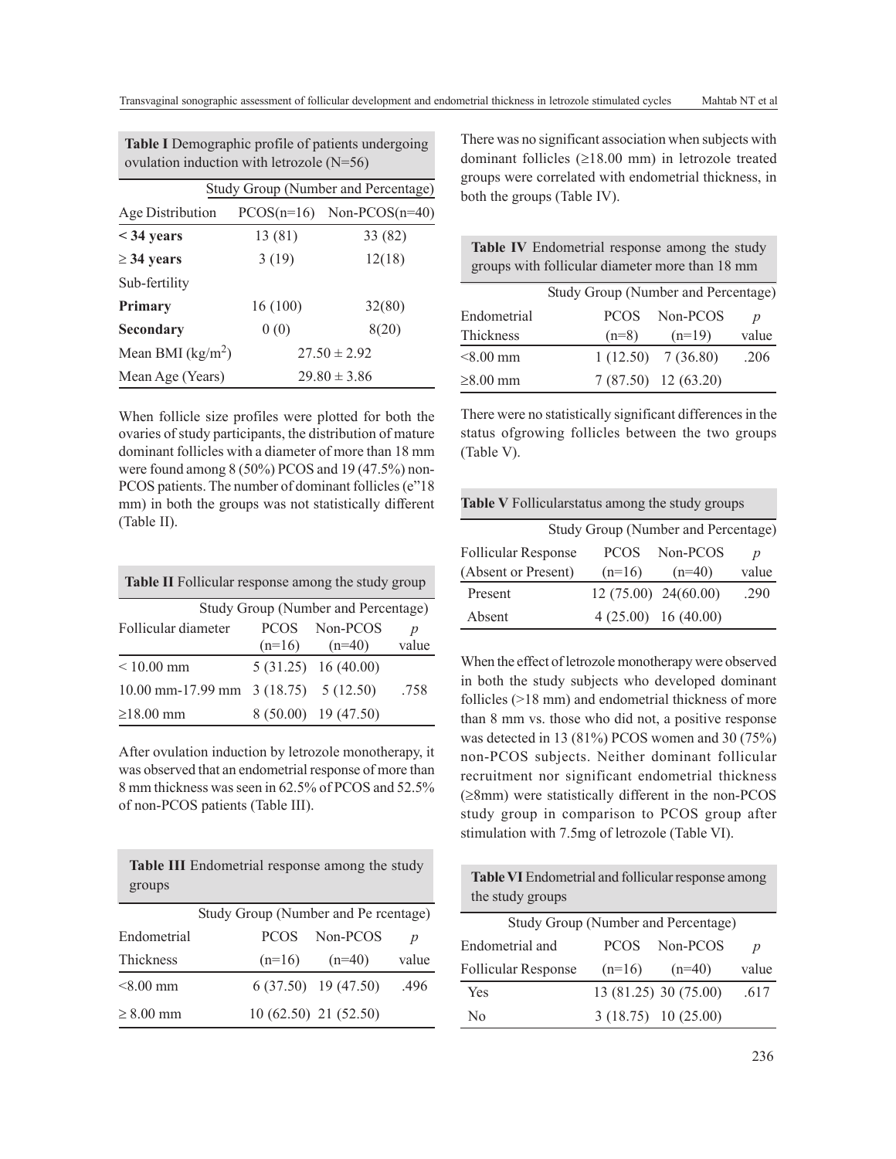| ovulation induction with letrozoie (N=50) |                  |                                |  |
|-------------------------------------------|------------------|--------------------------------|--|
| Study Group (Number and Percentage)       |                  |                                |  |
| Age Distribution                          |                  | $PCOS(n=16)$ Non- $PCOS(n=40)$ |  |
| $<$ 34 years                              | 13 (81)          | 33 (82)                        |  |
| $\geq$ 34 years                           | 3(19)            | 12(18)                         |  |
| Sub-fertility                             |                  |                                |  |
| <b>Primary</b>                            | 16(100)          | 32(80)                         |  |
| Secondary                                 | 0(0)             | 8(20)                          |  |
| Mean BMI $(kg/m2)$                        |                  | $27.50 \pm 2.92$               |  |
| Mean Age (Years)                          | $29.80 \pm 3.86$ |                                |  |

**Table I** Demographic profile of patients undergoing ovulation induction with letrozole (N=56)

When follicle size profiles were plotted for both the ovaries of study participants, the distribution of mature dominant follicles with a diameter of more than 18 mm were found among 8 (50%) PCOS and 19 (47.5%) non-PCOS patients. The number of dominant follicles (e"18 mm) in both the groups was not statistically different (Table II).

| <b>Table II</b> Follicular response among the study group |          |                       |       |  |
|-----------------------------------------------------------|----------|-----------------------|-------|--|
| Study Group (Number and Percentage)                       |          |                       |       |  |
| Follicular diameter                                       |          | PCOS Non-PCOS         | p     |  |
|                                                           | $(n=16)$ | $(n=40)$              | value |  |
| $< 10.00$ mm                                              |          | $5(31.25)$ 16 (40.00) |       |  |
| 10.00 mm-17.99 mm $3(18.75)$ $5(12.50)$                   |          |                       | .758  |  |
| $\geq$ 18.00 mm                                           |          | 8 (50.00) 19 (47.50)  |       |  |

After ovulation induction by letrozole monotherapy, it was observed that an endometrial response of more than 8 mm thickness was seen in 62.5% of PCOS and 52.5% of non-PCOS patients (Table III).

**Table III** Endometrial response among the study

| groups         |             |                                      |                  |
|----------------|-------------|--------------------------------------|------------------|
|                |             | Study Group (Number and Pe rcentage) |                  |
| Endometrial    | <b>PCOS</b> | Non-PCOS                             | $\boldsymbol{p}$ |
| Thickness      | $(n=16)$    | $(n=40)$                             | value            |
| $< 8.00$ mm    |             | $6(37.50)$ 19 (47.50)                | .496             |
| $\geq 8.00$ mm |             | 10 (62.50) 21 (52.50)                |                  |

There was no significant association when subjects with dominant follicles  $(\geq 18.00 \text{ mm})$  in letrozole treated groups were correlated with endometrial thickness, in both the groups (Table IV).

| Table IV Endometrial response among the study<br>groups with follicular diameter more than 18 mm |         |                       |       |
|--------------------------------------------------------------------------------------------------|---------|-----------------------|-------|
| Study Group (Number and Percentage)                                                              |         |                       |       |
| Endometrial                                                                                      | PCOS    | Non-PCOS              | p     |
| Thickness                                                                                        | $(n=8)$ | $(n=19)$              | value |
| $< 8.00$ mm                                                                                      |         | $1(12.50)$ 7 (36.80)  | .206  |
| $\geq 8.00$ mm                                                                                   |         | $7(87.50)$ 12 (63.20) |       |

There were no statistically significant differences in the status ofgrowing follicles between the two groups (Table V).

| Table V Follicularstatus among the study groups |  |  |
|-------------------------------------------------|--|--|
|-------------------------------------------------|--|--|

|                            |             | Study Group (Number and Percentage) |       |
|----------------------------|-------------|-------------------------------------|-------|
| <b>Follicular Response</b> | <b>PCOS</b> | Non-PCOS                            | p     |
| (Absent or Present)        | $(n=16)$    | $(n=40)$                            | value |
| Present                    |             | 12(75.00) 24(60.00)                 | .290  |
| Absent                     |             | $4(25.00)$ 16 (40.00)               |       |

When the effect of letrozole monotherapy were observed in both the study subjects who developed dominant follicles (>18 mm) and endometrial thickness of more than 8 mm vs. those who did not, a positive response was detected in 13 (81%) PCOS women and 30 (75%) non-PCOS subjects. Neither dominant follicular recruitment nor significant endometrial thickness  $($ ≥8mm) were statistically different in the non-PCOS study group in comparison to PCOS group after stimulation with 7.5mg of letrozole (Table VI).

| Table VI Endometrial and follicular response among |  |
|----------------------------------------------------|--|
| the study groups                                   |  |

| Study Group (Number and Percentage) |          |                       |                  |
|-------------------------------------|----------|-----------------------|------------------|
| Endometrial and                     |          | PCOS Non-PCOS         | $\boldsymbol{p}$ |
| <b>Follicular Response</b>          | $(n=16)$ | $(n=40)$              | value            |
| <b>Yes</b>                          |          | 13 (81.25) 30 (75.00) | .617             |
| No                                  |          | $3(18.75)$ 10 (25.00) |                  |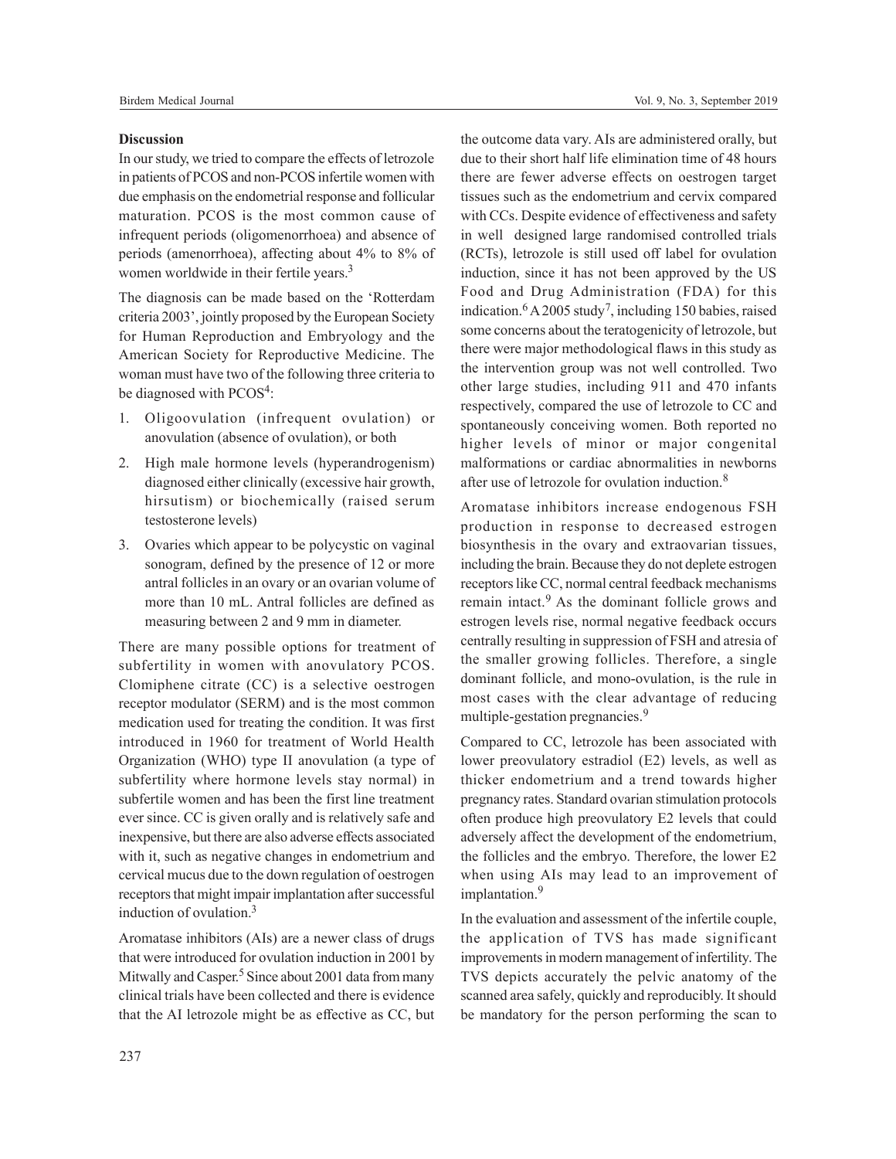# **Discussion**

In our study, we tried to compare the effects of letrozole in patients of PCOS and non-PCOS infertile women with due emphasis on the endometrial response and follicular maturation. PCOS is the most common cause of infrequent periods (oligomenorrhoea) and absence of periods (amenorrhoea), affecting about 4% to 8% of women worldwide in their fertile years.<sup>3</sup>

The diagnosis can be made based on the 'Rotterdam criteria 2003', jointly proposed by the European Society for Human Reproduction and Embryology and the American Society for Reproductive Medicine. The woman must have two of the following three criteria to be diagnosed with PCOS<sup>4</sup>:

- 1. Oligoovulation (infrequent ovulation) or anovulation (absence of ovulation), or both
- 2. High male hormone levels (hyperandrogenism) diagnosed either clinically (excessive hair growth, hirsutism) or biochemically (raised serum testosterone levels)
- 3. Ovaries which appear to be polycystic on vaginal sonogram, defined by the presence of 12 or more antral follicles in an ovary or an ovarian volume of more than 10 mL. Antral follicles are defined as measuring between 2 and 9 mm in diameter.

There are many possible options for treatment of subfertility in women with anovulatory PCOS. Clomiphene citrate (CC) is a selective oestrogen receptor modulator (SERM) and is the most common medication used for treating the condition. It was first introduced in 1960 for treatment of World Health Organization (WHO) type II anovulation (a type of subfertility where hormone levels stay normal) in subfertile women and has been the first line treatment ever since. CC is given orally and is relatively safe and inexpensive, but there are also adverse effects associated with it, such as negative changes in endometrium and cervical mucus due to the down regulation of oestrogen receptors that might impair implantation after successful induction of ovulation.<sup>3</sup>

Aromatase inhibitors (AIs) are a newer class of drugs that were introduced for ovulation induction in 2001 by Mitwally and Casper.<sup>5</sup> Since about 2001 data from many clinical trials have been collected and there is evidence that the AI letrozole might be as effective as CC, but

the outcome data vary. AIs are administered orally, but due to their short half life elimination time of 48 hours there are fewer adverse effects on oestrogen target tissues such as the endometrium and cervix compared with CCs. Despite evidence of effectiveness and safety in well designed large randomised controlled trials (RCTs), letrozole is still used off label for ovulation induction, since it has not been approved by the US Food and Drug Administration (FDA) for this indication.<sup>6</sup> A 2005 study<sup>7</sup>, including 150 babies, raised some concerns about the teratogenicity of letrozole, but there were major methodological flaws in this study as the intervention group was not well controlled. Two other large studies, including 911 and 470 infants respectively, compared the use of letrozole to CC and spontaneously conceiving women. Both reported no higher levels of minor or major congenital malformations or cardiac abnormalities in newborns after use of letrozole for ovulation induction.<sup>8</sup>

Aromatase inhibitors increase endogenous FSH production in response to decreased estrogen biosynthesis in the ovary and extraovarian tissues, including the brain. Because they do not deplete estrogen receptors like CC, normal central feedback mechanisms remain intact.<sup>9</sup> As the dominant follicle grows and estrogen levels rise, normal negative feedback occurs centrally resulting in suppression of FSH and atresia of the smaller growing follicles. Therefore, a single dominant follicle, and mono-ovulation, is the rule in most cases with the clear advantage of reducing multiple-gestation pregnancies.<sup>9</sup>

Compared to CC, letrozole has been associated with lower preovulatory estradiol (E2) levels, as well as thicker endometrium and a trend towards higher pregnancy rates. Standard ovarian stimulation protocols often produce high preovulatory E2 levels that could adversely affect the development of the endometrium, the follicles and the embryo. Therefore, the lower E2 when using AIs may lead to an improvement of implantation.<sup>9</sup>

In the evaluation and assessment of the infertile couple, the application of TVS has made significant improvements in modern management of infertility. The TVS depicts accurately the pelvic anatomy of the scanned area safely, quickly and reproducibly. It should be mandatory for the person performing the scan to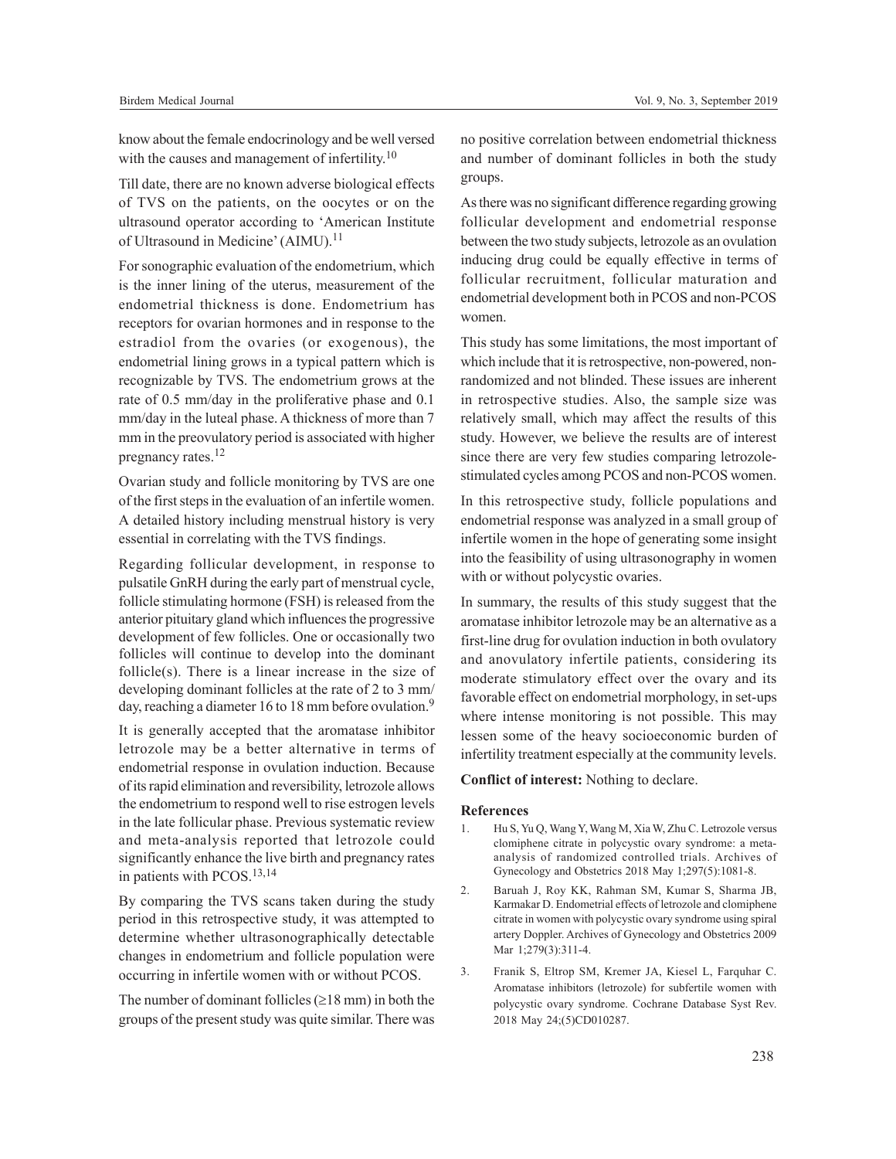know about the female endocrinology and be well versed with the causes and management of infertility.<sup>10</sup>

Till date, there are no known adverse biological effects of TVS on the patients, on the oocytes or on the ultrasound operator according to 'American Institute of Ultrasound in Medicine' (AIMU).<sup>11</sup>

For sonographic evaluation of the endometrium, which is the inner lining of the uterus, measurement of the endometrial thickness is done. Endometrium has receptors for ovarian hormones and in response to the estradiol from the ovaries (or exogenous), the endometrial lining grows in a typical pattern which is recognizable by TVS. The endometrium grows at the rate of 0.5 mm/day in the proliferative phase and 0.1 mm/day in the luteal phase. A thickness of more than 7 mm in the preovulatory period is associated with higher pregnancy rates.<sup>12</sup>

Ovarian study and follicle monitoring by TVS are one of the first steps in the evaluation of an infertile women. A detailed history including menstrual history is very essential in correlating with the TVS findings.

Regarding follicular development, in response to pulsatile GnRH during the early part of menstrual cycle, follicle stimulating hormone (FSH) is released from the anterior pituitary gland which influences the progressive development of few follicles. One or occasionally two follicles will continue to develop into the dominant follicle(s). There is a linear increase in the size of developing dominant follicles at the rate of 2 to 3 mm/ day, reaching a diameter 16 to 18 mm before ovulation.<sup>9</sup>

It is generally accepted that the aromatase inhibitor letrozole may be a better alternative in terms of endometrial response in ovulation induction. Because of its rapid elimination and reversibility, letrozole allows the endometrium to respond well to rise estrogen levels in the late follicular phase. Previous systematic review and meta-analysis reported that letrozole could significantly enhance the live birth and pregnancy rates in patients with PCOS.13,14

By comparing the TVS scans taken during the study period in this retrospective study, it was attempted to determine whether ultrasonographically detectable changes in endometrium and follicle population were occurring in infertile women with or without PCOS.

The number of dominant follicles  $(\geq 18 \text{ mm})$  in both the groups of the present study was quite similar. There was no positive correlation between endometrial thickness and number of dominant follicles in both the study groups.

As there was no significant difference regarding growing follicular development and endometrial response between the two study subjects, letrozole as an ovulation inducing drug could be equally effective in terms of follicular recruitment, follicular maturation and endometrial development both in PCOS and non-PCOS women.

This study has some limitations, the most important of which include that it is retrospective, non-powered, nonrandomized and not blinded. These issues are inherent in retrospective studies. Also, the sample size was relatively small, which may affect the results of this study. However, we believe the results are of interest since there are very few studies comparing letrozolestimulated cycles among PCOS and non-PCOS women.

In this retrospective study, follicle populations and endometrial response was analyzed in a small group of infertile women in the hope of generating some insight into the feasibility of using ultrasonography in women with or without polycystic ovaries.

In summary, the results of this study suggest that the aromatase inhibitor letrozole may be an alternative as a first-line drug for ovulation induction in both ovulatory and anovulatory infertile patients, considering its moderate stimulatory effect over the ovary and its favorable effect on endometrial morphology, in set-ups where intense monitoring is not possible. This may lessen some of the heavy socioeconomic burden of infertility treatment especially at the community levels.

#### **Conflict of interest:** Nothing to declare.

#### **References**

- 1. Hu S, Yu Q, Wang Y, Wang M, Xia W, Zhu C. Letrozole versus clomiphene citrate in polycystic ovary syndrome: a metaanalysis of randomized controlled trials. Archives of Gynecology and Obstetrics 2018 May 1;297(5):1081-8.
- 2. Baruah J, Roy KK, Rahman SM, Kumar S, Sharma JB, Karmakar D. Endometrial effects of letrozole and clomiphene citrate in women with polycystic ovary syndrome using spiral artery Doppler. Archives of Gynecology and Obstetrics 2009 Mar 1;279(3):311-4.
- 3. Franik S, Eltrop SM, Kremer JA, Kiesel L, Farquhar C. Aromatase inhibitors (letrozole) for subfertile women with polycystic ovary syndrome. Cochrane Database Syst Rev. 2018 May 24;(5)CD010287.